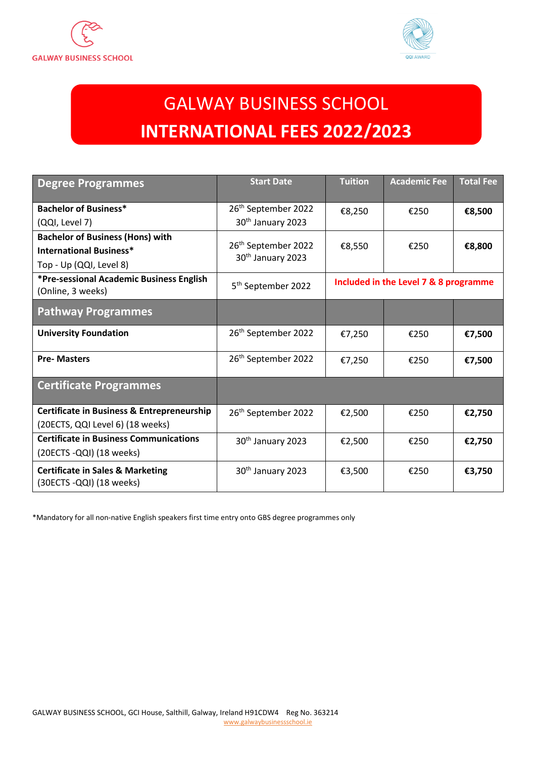



# GALWAY BUSINESS SCHOOL **INTERNATIONAL FEES 2022/2023**

| <b>Degree Programmes</b>                                                                  | <b>Start Date</b>                                                | <b>Tuition</b>                        | <b>Academic Fee</b> | <b>Total Fee</b> |
|-------------------------------------------------------------------------------------------|------------------------------------------------------------------|---------------------------------------|---------------------|------------------|
| <b>Bachelor of Business*</b>                                                              | 26 <sup>th</sup> September 2022                                  | €8,250                                | €250                | €8,500           |
| (QQI, Level 7)                                                                            | 30 <sup>th</sup> January 2023                                    |                                       |                     |                  |
| <b>Bachelor of Business (Hons) with</b>                                                   |                                                                  |                                       |                     |                  |
| <b>International Business*</b>                                                            | 26 <sup>th</sup> September 2022<br>30 <sup>th</sup> January 2023 | €8,550                                | €250                | €8,800           |
| Top - Up (QQI, Level 8)                                                                   |                                                                  |                                       |                     |                  |
| *Pre-sessional Academic Business English<br>(Online, 3 weeks)                             | 5 <sup>th</sup> September 2022                                   | Included in the Level 7 & 8 programme |                     |                  |
| <b>Pathway Programmes</b>                                                                 |                                                                  |                                       |                     |                  |
| <b>University Foundation</b>                                                              | 26 <sup>th</sup> September 2022                                  | €7,250                                | €250                | €7,500           |
| <b>Pre-Masters</b>                                                                        | 26 <sup>th</sup> September 2022                                  | €7,250                                | €250                | €7,500           |
| <b>Certificate Programmes</b>                                                             |                                                                  |                                       |                     |                  |
| <b>Certificate in Business &amp; Entrepreneurship</b><br>(20ECTS, QQI Level 6) (18 weeks) | 26 <sup>th</sup> September 2022                                  | €2,500                                | €250                | €2,750           |
| <b>Certificate in Business Communications</b>                                             | 30 <sup>th</sup> January 2023                                    | €2,500                                | €250                | €2,750           |
| (20ECTS -QQI) (18 weeks)                                                                  |                                                                  |                                       |                     |                  |
| <b>Certificate in Sales &amp; Marketing</b><br>(30ECTS -QQI) (18 weeks)                   | 30 <sup>th</sup> January 2023                                    | €3,500                                | €250                | €3,750           |

\*Mandatory for all non-native English speakers first time entry onto GBS degree programmes only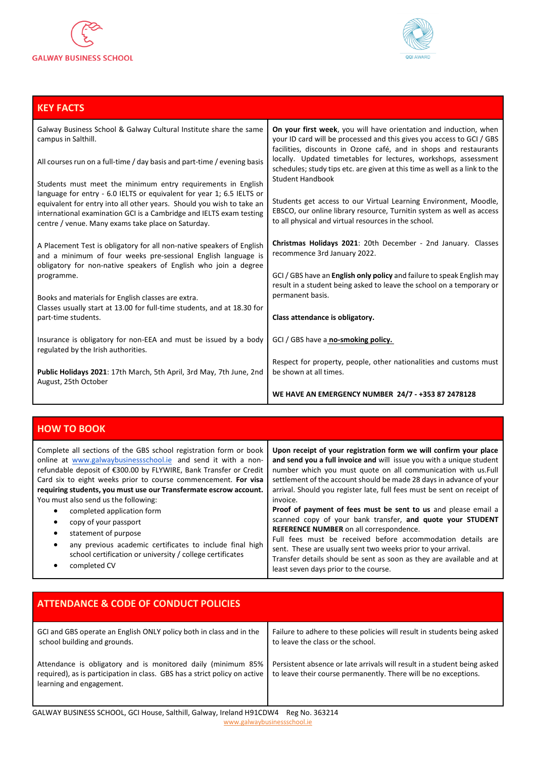

**KEY FACTS**



**WE HAVE AN EMERGENCY NUMBER 24/7 - +353 87 2478128**

#### Galway Business School & Galway Cultural Institute share the same campus in Salthill. All courses run on a full-time / day basis and part-time / evening basis Students must meet the minimum entry requirements in English language for entry - 6.0 IELTS or equivalent for year 1; 6.5 IELTS or equivalent for entry into all other years. Should you wish to take an international examination GCI is a Cambridge and IELTS exam testing centre / venue. Many exams take place on Saturday. A Placement Test is obligatory for all non-native speakers of English and a minimum of four weeks pre-sessional English language is obligatory for non-native speakers of English who join a degree programme. Books and materials for English classes are extra. Classes usually start at 13.00 for full-time students, and at 18.30 for part-time students. Insurance is obligatory for non-EEA and must be issued by a body regulated by the Irish authorities. **Public Holidays 2021**: 17th March, 5th April, 3rd May, 7th June, 2nd August, 25th October **On your first week**, you will have orientation and induction, when your ID card will be processed and this gives you access to GCI / GBS facilities, discounts in Ozone café, and in shops and restaurants locally. Updated timetables for lectures, workshops, assessment schedules; study tips etc. are given at this time as well as a link to the Student Handbook Students get access to our Virtual Learning Environment, Moodle, EBSCO, our online library resource, Turnitin system as well as access to all physical and virtual resources in the school. **Christmas Holidays 2021**: 20th December - 2nd January. Classes recommence 3rd January 2022. GCI / GBS have an **English only policy** and failure to speak English may result in a student being asked to leave the school on a temporary or permanent basis. **Class attendance is obligatory.**  GCI / GBS have a **no-smoking policy.** Respect for property, people, other nationalities and customs must be shown at all times.

| <b>HOW TO BOOK</b>                                                                                                                                                                                                                                                                                                                                                                                                                                                                                                                                                                                                                                    |                                                                                                                                                                                                                                                                                                                                                                                                                                                                                                                                                                                                                                                                                                                                                                                                       |
|-------------------------------------------------------------------------------------------------------------------------------------------------------------------------------------------------------------------------------------------------------------------------------------------------------------------------------------------------------------------------------------------------------------------------------------------------------------------------------------------------------------------------------------------------------------------------------------------------------------------------------------------------------|-------------------------------------------------------------------------------------------------------------------------------------------------------------------------------------------------------------------------------------------------------------------------------------------------------------------------------------------------------------------------------------------------------------------------------------------------------------------------------------------------------------------------------------------------------------------------------------------------------------------------------------------------------------------------------------------------------------------------------------------------------------------------------------------------------|
| Complete all sections of the GBS school registration form or book<br>online at www.galwaybusinessschool.ie and send it with a non-<br>refundable deposit of €300.00 by FLYWIRE, Bank Transfer or Credit<br>Card six to eight weeks prior to course commencement. For visa<br>requiring students, you must use our Transfermate escrow account.<br>You must also send us the following:<br>completed application form<br>$\bullet$<br>copy of your passport<br>statement of purpose<br>$\bullet$<br>any previous academic certificates to include final high<br>$\bullet$<br>school certification or university / college certificates<br>completed CV | Upon receipt of your registration form we will confirm your place<br>and send you a full invoice and will issue you with a unique student<br>number which you must quote on all communication with us. Full<br>settlement of the account should be made 28 days in advance of your<br>arrival. Should you register late, full fees must be sent on receipt of<br>invoice.<br>Proof of payment of fees must be sent to us and please email a<br>scanned copy of your bank transfer, and quote your STUDENT<br>REFERENCE NUMBER on all correspondence.<br>Full fees must be received before accommodation details are<br>sent. These are usually sent two weeks prior to your arrival.<br>Transfer details should be sent as soon as they are available and at<br>least seven days prior to the course. |

| <b>ATTENDANCE &amp; CODE OF CONDUCT POLICIES</b>                                                                                                                       |                                                                                                                                             |
|------------------------------------------------------------------------------------------------------------------------------------------------------------------------|---------------------------------------------------------------------------------------------------------------------------------------------|
| GCI and GBS operate an English ONLY policy both in class and in the<br>school building and grounds.                                                                    | Failure to adhere to these policies will result in students being asked<br>to leave the class or the school.                                |
| Attendance is obligatory and is monitored daily (minimum 85%<br>required), as is participation in class. GBS has a strict policy on active<br>learning and engagement. | Persistent absence or late arrivals will result in a student being asked<br>to leave their course permanently. There will be no exceptions. |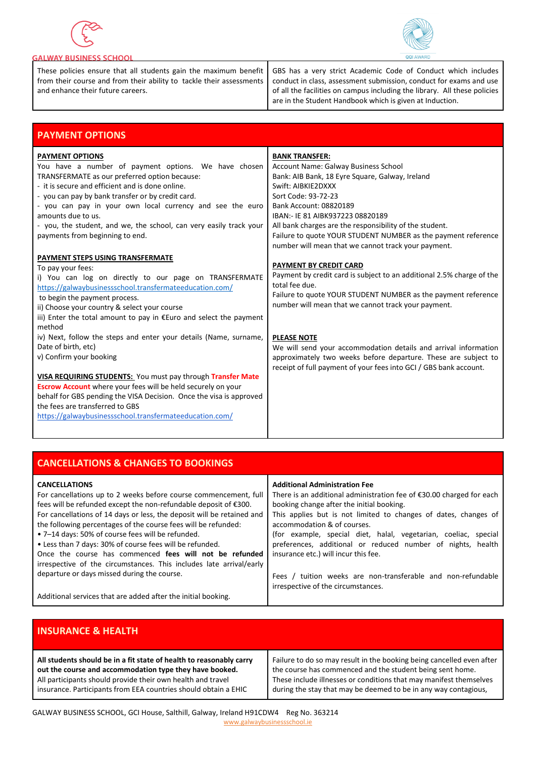



### **GALWAY BUSINESS SCHOOL**

These policies ensure that all students gain the maximum benefit from their course and from their ability to tackle their assessments and enhance their future careers.

GBS has a very strict Academic Code of Conduct which includes conduct in class, assessment submission, conduct for exams and use of all the facilities on campus including the library. All these policies are in the Student Handbook which is given at Induction.

| <b>PAYMENT OPTIONS</b>                                                                                                                                                                                                                                                                                                                                                                                                               |                                                                                                                                                                                                                                                                                                                                                                                                                |
|--------------------------------------------------------------------------------------------------------------------------------------------------------------------------------------------------------------------------------------------------------------------------------------------------------------------------------------------------------------------------------------------------------------------------------------|----------------------------------------------------------------------------------------------------------------------------------------------------------------------------------------------------------------------------------------------------------------------------------------------------------------------------------------------------------------------------------------------------------------|
| <b>PAYMENT OPTIONS</b><br>You have a number of payment options. We have chosen<br>TRANSFERMATE as our preferred option because:<br>- it is secure and efficient and is done online.<br>- you can pay by bank transfer or by credit card.<br>- you can pay in your own local currency and see the euro<br>amounts due to us.<br>- you, the student, and we, the school, can very easily track your<br>payments from beginning to end. | <b>BANK TRANSFER:</b><br>Account Name: Galway Business School<br>Bank: AIB Bank, 18 Eyre Square, Galway, Ireland<br>Swift: AIBKIE2DXXX<br>Sort Code: 93-72-23<br>Bank Account: 08820189<br>IBAN:- IE 81 AIBK937223 08820189<br>All bank charges are the responsibility of the student.<br>Failure to quote YOUR STUDENT NUMBER as the payment reference<br>number will mean that we cannot track your payment. |
| PAYMENT STEPS USING TRANSFERMATE<br>To pay your fees:<br>i) You can log on directly to our page on TRANSFERMATE<br>https://galwaybusinessschool.transfermateeducation.com/<br>to begin the payment process.<br>ii) Choose your country & select your course<br>iii) Enter the total amount to pay in $Euro$ and select the payment<br>method                                                                                         | PAYMENT BY CREDIT CARD<br>Payment by credit card is subject to an additional 2.5% charge of the<br>total fee due.<br>Failure to quote YOUR STUDENT NUMBER as the payment reference<br>number will mean that we cannot track your payment.                                                                                                                                                                      |
| iv) Next, follow the steps and enter your details (Name, surname,<br>Date of birth, etc)<br>v) Confirm your booking<br>VISA REQUIRING STUDENTS: You must pay through Transfer Mate<br><b>Escrow Account</b> where your fees will be held securely on your<br>behalf for GBS pending the VISA Decision. Once the visa is approved<br>the fees are transferred to GBS<br>https://galwaybusinessschool.transfermateeducation.com/       | <b>PLEASE NOTE</b><br>We will send your accommodation details and arrival information<br>approximately two weeks before departure. These are subject to<br>receipt of full payment of your fees into GCI / GBS bank account.                                                                                                                                                                                   |

| <b>CANCELLATIONS &amp; CHANGES TO BOOKINGS</b>                                                                                                                                                                                                                                                                                                                                                                                                                                                                                                                                                             |                                                                                                                                                                                                                                                                                                                                                                                                                                                 |
|------------------------------------------------------------------------------------------------------------------------------------------------------------------------------------------------------------------------------------------------------------------------------------------------------------------------------------------------------------------------------------------------------------------------------------------------------------------------------------------------------------------------------------------------------------------------------------------------------------|-------------------------------------------------------------------------------------------------------------------------------------------------------------------------------------------------------------------------------------------------------------------------------------------------------------------------------------------------------------------------------------------------------------------------------------------------|
| <b>CANCELLATIONS</b><br>For cancellations up to 2 weeks before course commencement, full<br>fees will be refunded except the non-refundable deposit of €300.<br>For cancellations of 14 days or less, the deposit will be retained and<br>the following percentages of the course fees will be refunded:<br>• 7-14 days: 50% of course fees will be refunded.<br>• Less than 7 days: 30% of course fees will be refunded.<br>Once the course has commenced fees will not be refunded<br>irrespective of the circumstances. This includes late arrival/early<br>departure or days missed during the course. | <b>Additional Administration Fee</b><br>There is an additional administration fee of $\epsilon$ 30.00 charged for each<br>booking change after the initial booking.<br>This applies but is not limited to changes of dates, changes of<br>accommodation & of courses.<br>(for example, special diet, halal, vegetarian, coeliac, special<br>preferences, additional or reduced number of nights, health<br>insurance etc.) will incur this fee. |
|                                                                                                                                                                                                                                                                                                                                                                                                                                                                                                                                                                                                            | Fees / tuition weeks are non-transferable and non-refundable<br>irrespective of the circumstances.                                                                                                                                                                                                                                                                                                                                              |
| Additional services that are added after the initial booking.                                                                                                                                                                                                                                                                                                                                                                                                                                                                                                                                              |                                                                                                                                                                                                                                                                                                                                                                                                                                                 |

| <b>INSURANCE &amp; HEALTH</b>                                       |                                                                       |
|---------------------------------------------------------------------|-----------------------------------------------------------------------|
| All students should be in a fit state of health to reasonably carry | Failure to do so may result in the booking being cancelled even after |
| out the course and accommodation type they have booked.             | the course has commenced and the student being sent home.             |
| All participants should provide their own health and travel         | These include illnesses or conditions that may manifest themselves    |
| insurance. Participants from EEA countries should obtain a EHIC     | during the stay that may be deemed to be in any way contagious,       |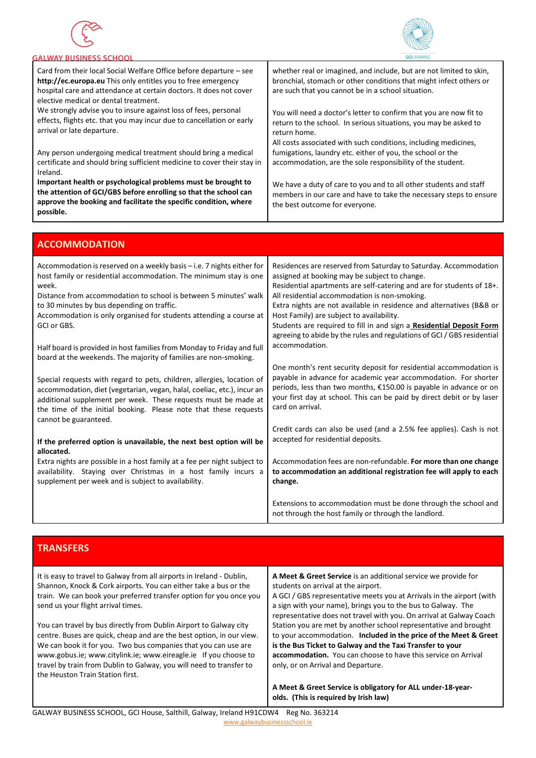

**ACCOMMODATION**



#### ALWAY RUSINESS SCHOOL Card from their local Social Welfare Office before departure – see whether real or imagined, and include, but are not limited to skin, **http://ec.europa.eu** This only entitles you to free emergency bronchial, stomach or other conditions that might infect others or hospital care and attendance at certain doctors. It does not cover are such that you cannot be in a school situation. elective medical or dental treatment. We strongly advise you to insure against loss of fees, personal You will need a doctor's letter to confirm that you are now fit to effects, flights etc. that you may incur due to cancellation or early return to the school. In serious situations, you may be asked to arrival or late departure. return home. All costs associated with such conditions, including medicines, Any person undergoing medical treatment should bring a medical fumigations, laundry etc. either of you, the school or the certificate and should bring sufficient medicine to cover their stay in accommodation, are the sole responsibility of the student. Ireland. **Important health or psychological problems must be brought to**  We have a duty of care to you and to all other students and staff **the attention of GCI/GBS before enrolling so that the school can**  members in our care and have to take the necessary steps to ensure **approve the booking and facilitate the specific condition, where**  the best outcome for everyone. **possible.**

| Attuivino Dalloiv                                                                                                                                                                                                                                                                                                                                           |                                                                                                                                                                                                                                                                                                                                                                                                                                                                                                                     |
|-------------------------------------------------------------------------------------------------------------------------------------------------------------------------------------------------------------------------------------------------------------------------------------------------------------------------------------------------------------|---------------------------------------------------------------------------------------------------------------------------------------------------------------------------------------------------------------------------------------------------------------------------------------------------------------------------------------------------------------------------------------------------------------------------------------------------------------------------------------------------------------------|
| Accommodation is reserved on a weekly basis - i.e. 7 nights either for<br>host family or residential accommodation. The minimum stay is one<br>week.<br>Distance from accommodation to school is between 5 minutes' walk<br>to 30 minutes by bus depending on traffic.<br>Accommodation is only organised for students attending a course at<br>GCI or GBS. | Residences are reserved from Saturday to Saturday. Accommodation<br>assigned at booking may be subject to change.<br>Residential apartments are self-catering and are for students of 18+.<br>All residential accommodation is non-smoking.<br>Extra nights are not available in residence and alternatives (B&B or<br>Host Family) are subject to availability.<br>Students are required to fill in and sign a Residential Deposit Form<br>agreeing to abide by the rules and regulations of GCI / GBS residential |
| Half board is provided in host families from Monday to Friday and full<br>board at the weekends. The majority of families are non-smoking.                                                                                                                                                                                                                  | accommodation.                                                                                                                                                                                                                                                                                                                                                                                                                                                                                                      |
| Special requests with regard to pets, children, allergies, location of<br>accommodation, diet (vegetarian, vegan, halal, coeliac, etc.), incur an<br>additional supplement per week. These requests must be made at<br>the time of the initial booking. Please note that these requests<br>cannot be guaranteed.                                            | One month's rent security deposit for residential accommodation is<br>payable in advance for academic year accommodation. For shorter<br>periods, less than two months, €150.00 is payable in advance or on<br>your first day at school. This can be paid by direct debit or by laser<br>card on arrival.                                                                                                                                                                                                           |
| If the preferred option is unavailable, the next best option will be<br>allocated.                                                                                                                                                                                                                                                                          | Credit cards can also be used (and a 2.5% fee applies). Cash is not<br>accepted for residential deposits.                                                                                                                                                                                                                                                                                                                                                                                                           |
| Extra nights are possible in a host family at a fee per night subject to<br>availability. Staying over Christmas in a host family incurs a<br>supplement per week and is subject to availability.                                                                                                                                                           | Accommodation fees are non-refundable. For more than one change<br>to accommodation an additional registration fee will apply to each<br>change.                                                                                                                                                                                                                                                                                                                                                                    |
|                                                                                                                                                                                                                                                                                                                                                             | Extensions to accommodation must be done through the school and<br>not through the host family or through the landlord.                                                                                                                                                                                                                                                                                                                                                                                             |

# **TRANSFERS**

It is easy to travel to Galway from all airports in Ireland - Dublin, Shannon, Knock & Cork airports. You can either take a bus or the train. We can book your preferred transfer option for you once you send us your flight arrival times.

You can travel by bus directly from Dublin Airport to Galway city centre. Buses are quick, cheap and are the best option, in our view. We can book it for you. Two bus companies that you can use are www.gobus.ie; www.citylink.ie; www.eireagle.ie If you choose to travel by train from Dublin to Galway, you will need to transfer to the Heuston Train Station first.

**A Meet & Greet Service** is an additional service we provide for students on arrival at the airport.

A GCI / GBS representative meets you at Arrivals in the airport (with a sign with your name), brings you to the bus to Galway. The representative does not travel with you. On arrival at Galway Coach Station you are met by another school representative and brought to your accommodation. **Included in the price of the Meet & Greet is the Bus Ticket to Galway and the Taxi Transfer to your accommodation.** You can choose to have this service on Arrival only, or on Arrival and Departure.

**A Meet & Greet Service is obligatory for ALL under-18-yearolds. (This is required by Irish law)**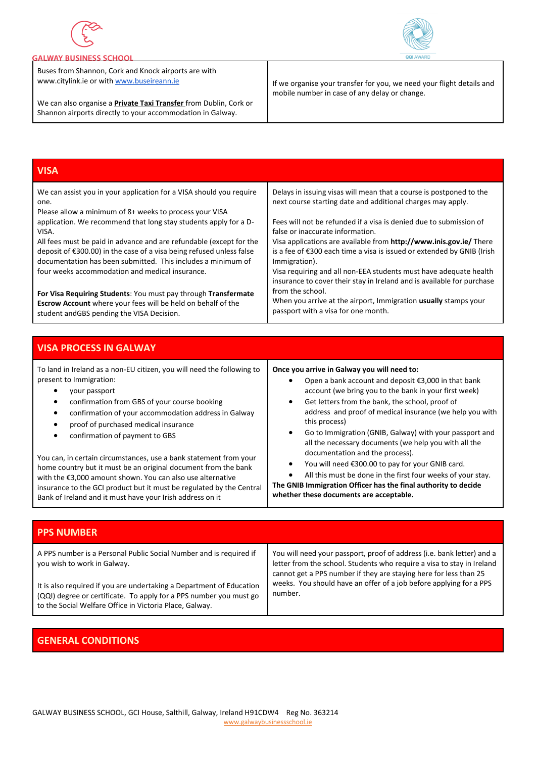



## **GALWAY BUSINESS SCHOOL**

Buses from Shannon, Cork and Knock airports are with www.citylink.ie or wit[h www.buseireann.ie](http://www.buseireann.ie/)

We can also organise a **Private Taxi Transfer** from Dublin, Cork or Shannon airports directly to your accommodation in Galway.

If we organise your transfer for you, we need your flight details and mobile number in case of any delay or change.

| <b>VISA</b>                                                                                                                            |                                                                                                                                             |
|----------------------------------------------------------------------------------------------------------------------------------------|---------------------------------------------------------------------------------------------------------------------------------------------|
| We can assist you in your application for a VISA should you require<br>one.<br>Please allow a minimum of 8+ weeks to process your VISA | Delays in issuing visas will mean that a course is postponed to the<br>next course starting date and additional charges may apply.          |
| application. We recommend that long stay students apply for a D-                                                                       | Fees will not be refunded if a visa is denied due to submission of                                                                          |
| VISA.                                                                                                                                  | false or inaccurate information.                                                                                                            |
| All fees must be paid in advance and are refundable (except for the                                                                    | Visa applications are available from http://www.inis.gov.ie/ There                                                                          |
| deposit of €300.00) in the case of a visa being refused unless false                                                                   | is a fee of €300 each time a visa is issued or extended by GNIB (Irish                                                                      |
| documentation has been submitted. This includes a minimum of                                                                           | Immigration).                                                                                                                               |
| four weeks accommodation and medical insurance.                                                                                        | Visa requiring and all non-EEA students must have adequate health<br>insurance to cover their stay in Ireland and is available for purchase |
| For Visa Requiring Students: You must pay through Transfermate                                                                         | from the school.                                                                                                                            |
| Escrow Account where your fees will be held on behalf of the                                                                           | When you arrive at the airport, Immigration usually stamps your                                                                             |
| student and GBS pending the VISA Decision.                                                                                             | passport with a visa for one month.                                                                                                         |

|  | <b>VISA PROCESS IN GALWAY</b> |  |
|--|-------------------------------|--|
|  |                               |  |
|  |                               |  |

| To land in Ireland as a non-EU citizen, you will need the following to<br>present to Immigration:<br>your passport<br>confirmation from GBS of your course booking<br>confirmation of your accommodation address in Galway                                        | Once you arrive in Galway you will need to:<br>Open a bank account and deposit €3,000 in that bank<br>account (we bring you to the bank in your first week)<br>Get letters from the bank, the school, proof of<br>٠<br>address and proof of medical insurance (we help you with |
|-------------------------------------------------------------------------------------------------------------------------------------------------------------------------------------------------------------------------------------------------------------------|---------------------------------------------------------------------------------------------------------------------------------------------------------------------------------------------------------------------------------------------------------------------------------|
| proof of purchased medical insurance<br>confirmation of payment to GBS<br>You can, in certain circumstances, use a bank statement from your                                                                                                                       | this process)<br>Go to Immigration (GNIB, Galway) with your passport and<br>٠<br>all the necessary documents (we help you with all the<br>documentation and the process).                                                                                                       |
| home country but it must be an original document from the bank<br>with the €3,000 amount shown. You can also use alternative<br>insurance to the GCI product but it must be regulated by the Central<br>Bank of Ireland and it must have your Irish address on it | You will need €300.00 to pay for your GNIB card.<br>٠<br>All this must be done in the first four weeks of your stay.<br>$\bullet$<br>The GNIB Immigration Officer has the final authority to decide<br>whether these documents are acceptable.                                  |

| <b>PPS NUMBER</b>                                                                                                                                                                                     |                                                                                                                                                                                                                       |
|-------------------------------------------------------------------------------------------------------------------------------------------------------------------------------------------------------|-----------------------------------------------------------------------------------------------------------------------------------------------------------------------------------------------------------------------|
| A PPS number is a Personal Public Social Number and is required if<br>you wish to work in Galway.                                                                                                     | You will need your passport, proof of address (i.e. bank letter) and a<br>letter from the school. Students who require a visa to stay in Ireland<br>cannot get a PPS number if they are staying here for less than 25 |
| It is also required if you are undertaking a Department of Education<br>(QQI) degree or certificate. To apply for a PPS number you must go<br>to the Social Welfare Office in Victoria Place, Galway. | weeks. You should have an offer of a job before applying for a PPS<br>number.                                                                                                                                         |

# **GENERAL CONDITIONS**